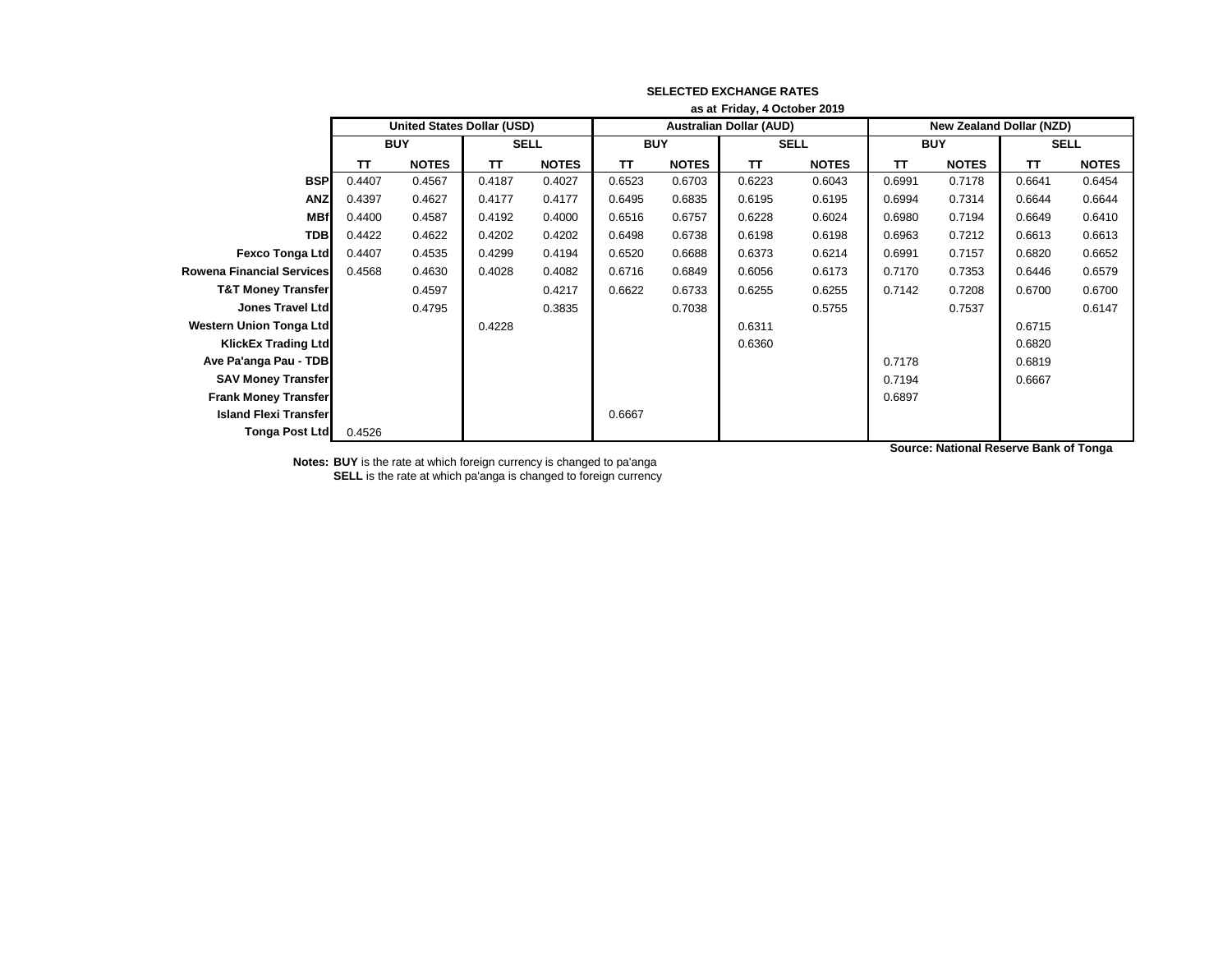|                                  | as at Friday, 4 October 2019 |                                   |             |              |            |                                |             |              |            |                                 |             |              |  |
|----------------------------------|------------------------------|-----------------------------------|-------------|--------------|------------|--------------------------------|-------------|--------------|------------|---------------------------------|-------------|--------------|--|
|                                  |                              | <b>United States Dollar (USD)</b> |             |              |            | <b>Australian Dollar (AUD)</b> |             |              |            | <b>New Zealand Dollar (NZD)</b> |             |              |  |
|                                  | <b>BUY</b>                   |                                   | <b>SELL</b> |              | <b>BUY</b> |                                | <b>SELL</b> |              | <b>BUY</b> |                                 | <b>SELL</b> |              |  |
|                                  | TT                           | <b>NOTES</b>                      | <b>TT</b>   | <b>NOTES</b> | TT         | <b>NOTES</b>                   | <b>TT</b>   | <b>NOTES</b> | TT.        | <b>NOTES</b>                    | <b>TT</b>   | <b>NOTES</b> |  |
| <b>BSP</b>                       | 0.4407                       | 0.4567                            | 0.4187      | 0.4027       | 0.6523     | 0.6703                         | 0.6223      | 0.6043       | 0.6991     | 0.7178                          | 0.6641      | 0.6454       |  |
| <b>ANZ</b>                       | 0.4397                       | 0.4627                            | 0.4177      | 0.4177       | 0.6495     | 0.6835                         | 0.6195      | 0.6195       | 0.6994     | 0.7314                          | 0.6644      | 0.6644       |  |
| <b>MBf</b>                       | 0.4400                       | 0.4587                            | 0.4192      | 0.4000       | 0.6516     | 0.6757                         | 0.6228      | 0.6024       | 0.6980     | 0.7194                          | 0.6649      | 0.6410       |  |
| <b>TDB</b>                       | 0.4422                       | 0.4622                            | 0.4202      | 0.4202       | 0.6498     | 0.6738                         | 0.6198      | 0.6198       | 0.6963     | 0.7212                          | 0.6613      | 0.6613       |  |
| <b>Fexco Tonga Ltd</b>           | 0.4407                       | 0.4535                            | 0.4299      | 0.4194       | 0.6520     | 0.6688                         | 0.6373      | 0.6214       | 0.6991     | 0.7157                          | 0.6820      | 0.6652       |  |
| <b>Rowena Financial Services</b> | 0.4568                       | 0.4630                            | 0.4028      | 0.4082       | 0.6716     | 0.6849                         | 0.6056      | 0.6173       | 0.7170     | 0.7353                          | 0.6446      | 0.6579       |  |
| <b>T&amp;T Money Transfer</b>    |                              | 0.4597                            |             | 0.4217       | 0.6622     | 0.6733                         | 0.6255      | 0.6255       | 0.7142     | 0.7208                          | 0.6700      | 0.6700       |  |
| <b>Jones Travel Ltd</b>          |                              | 0.4795                            |             | 0.3835       |            | 0.7038                         |             | 0.5755       |            | 0.7537                          |             | 0.6147       |  |
| <b>Western Union Tonga Ltd</b>   |                              |                                   | 0.4228      |              |            |                                | 0.6311      |              |            |                                 | 0.6715      |              |  |
| <b>KlickEx Trading Ltd</b>       |                              |                                   |             |              |            |                                | 0.6360      |              |            |                                 | 0.6820      |              |  |
| Ave Pa'anga Pau - TDB            |                              |                                   |             |              |            |                                |             |              | 0.7178     |                                 | 0.6819      |              |  |
| <b>SAV Money Transfer</b>        |                              |                                   |             |              |            |                                |             |              | 0.7194     |                                 | 0.6667      |              |  |
| <b>Frank Money Transfer</b>      |                              |                                   |             |              |            |                                |             |              | 0.6897     |                                 |             |              |  |
| <b>Island Flexi Transfer</b>     |                              |                                   |             |              | 0.6667     |                                |             |              |            |                                 |             |              |  |
| Tonga Post Ltd                   | 0.4526                       |                                   |             |              |            |                                |             |              |            |                                 |             |              |  |

**Notes: BUY** is the rate at which foreign currency is changed to pa'anga

**SELL** is the rate at which pa'anga is changed to foreign currency

**Source: National Reserve Bank of Tonga**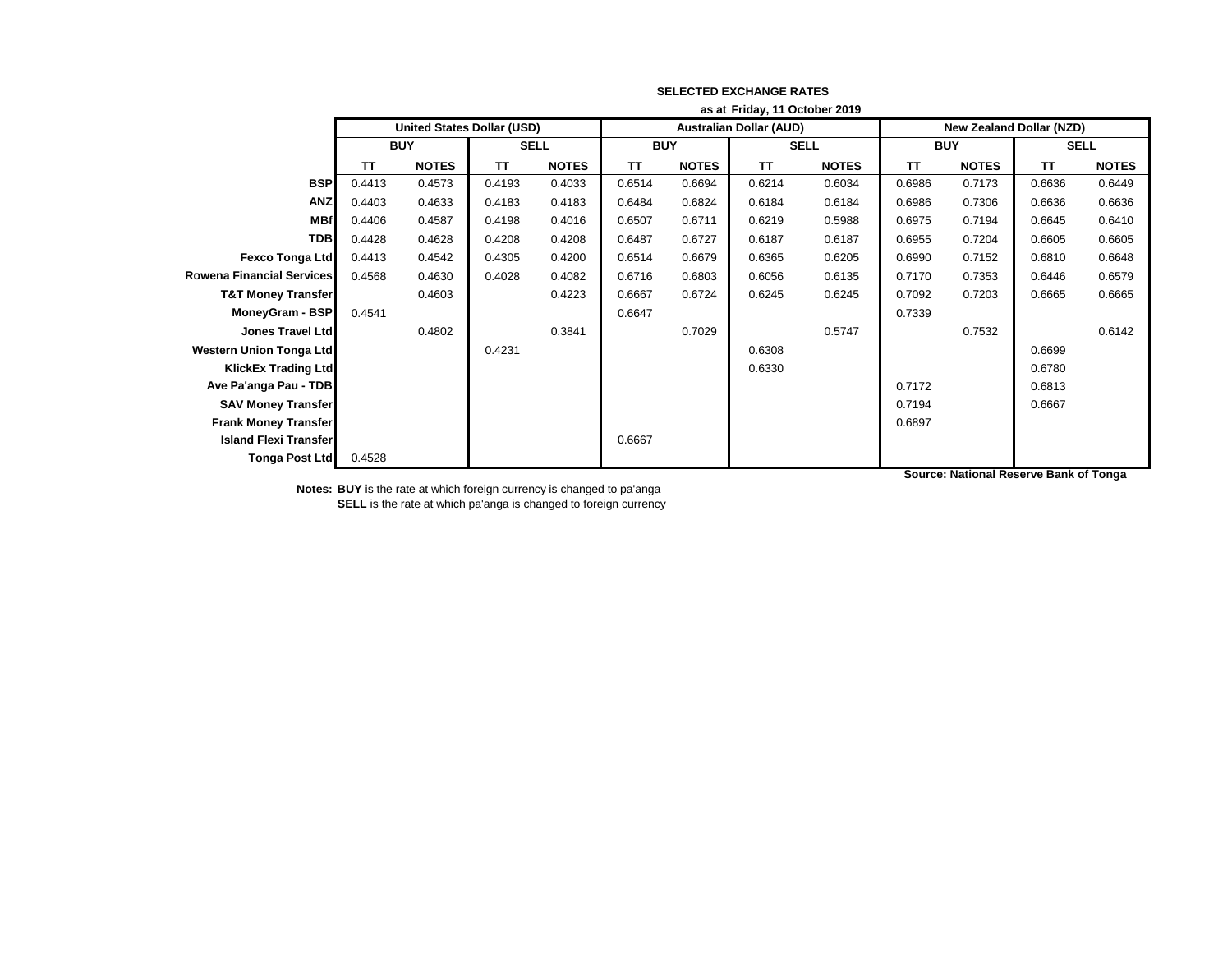|                                  | as at Friday, 11 October 2019     |              |             |              |            |                                |             |              |            |                                 |             |              |  |
|----------------------------------|-----------------------------------|--------------|-------------|--------------|------------|--------------------------------|-------------|--------------|------------|---------------------------------|-------------|--------------|--|
|                                  | <b>United States Dollar (USD)</b> |              |             |              |            | <b>Australian Dollar (AUD)</b> |             |              |            | <b>New Zealand Dollar (NZD)</b> |             |              |  |
|                                  | <b>BUY</b>                        |              | <b>SELL</b> |              | <b>BUY</b> |                                | <b>SELL</b> |              | <b>BUY</b> |                                 | <b>SELL</b> |              |  |
|                                  | TΤ                                | <b>NOTES</b> | <b>TT</b>   | <b>NOTES</b> | ΤT         | <b>NOTES</b>                   | <b>TT</b>   | <b>NOTES</b> | <b>TT</b>  | <b>NOTES</b>                    | <b>TT</b>   | <b>NOTES</b> |  |
| <b>BSP</b>                       | 0.4413                            | 0.4573       | 0.4193      | 0.4033       | 0.6514     | 0.6694                         | 0.6214      | 0.6034       | 0.6986     | 0.7173                          | 0.6636      | 0.6449       |  |
| <b>ANZ</b>                       | 0.4403                            | 0.4633       | 0.4183      | 0.4183       | 0.6484     | 0.6824                         | 0.6184      | 0.6184       | 0.6986     | 0.7306                          | 0.6636      | 0.6636       |  |
| <b>MBf</b>                       | 0.4406                            | 0.4587       | 0.4198      | 0.4016       | 0.6507     | 0.6711                         | 0.6219      | 0.5988       | 0.6975     | 0.7194                          | 0.6645      | 0.6410       |  |
| <b>TDB</b>                       | 0.4428                            | 0.4628       | 0.4208      | 0.4208       | 0.6487     | 0.6727                         | 0.6187      | 0.6187       | 0.6955     | 0.7204                          | 0.6605      | 0.6605       |  |
| <b>Fexco Tonga Ltd</b>           | 0.4413                            | 0.4542       | 0.4305      | 0.4200       | 0.6514     | 0.6679                         | 0.6365      | 0.6205       | 0.6990     | 0.7152                          | 0.6810      | 0.6648       |  |
| <b>Rowena Financial Services</b> | 0.4568                            | 0.4630       | 0.4028      | 0.4082       | 0.6716     | 0.6803                         | 0.6056      | 0.6135       | 0.7170     | 0.7353                          | 0.6446      | 0.6579       |  |
| <b>T&amp;T Money Transfer</b>    |                                   | 0.4603       |             | 0.4223       | 0.6667     | 0.6724                         | 0.6245      | 0.6245       | 0.7092     | 0.7203                          | 0.6665      | 0.6665       |  |
| <b>MoneyGram - BSP</b>           | 0.4541                            |              |             |              | 0.6647     |                                |             |              | 0.7339     |                                 |             |              |  |
| <b>Jones Travel Ltd</b>          |                                   | 0.4802       |             | 0.3841       |            | 0.7029                         |             | 0.5747       |            | 0.7532                          |             | 0.6142       |  |
| <b>Western Union Tonga Ltd</b>   |                                   |              | 0.4231      |              |            |                                | 0.6308      |              |            |                                 | 0.6699      |              |  |
| <b>KlickEx Trading Ltd</b>       |                                   |              |             |              |            |                                | 0.6330      |              |            |                                 | 0.6780      |              |  |
| Ave Pa'anga Pau - TDB            |                                   |              |             |              |            |                                |             |              | 0.7172     |                                 | 0.6813      |              |  |
| <b>SAV Money Transfer</b>        |                                   |              |             |              |            |                                |             |              | 0.7194     |                                 | 0.6667      |              |  |
| <b>Frank Money Transfer</b>      |                                   |              |             |              |            |                                |             |              | 0.6897     |                                 |             |              |  |
| <b>Island Flexi Transfer</b>     |                                   |              |             |              | 0.6667     |                                |             |              |            |                                 |             |              |  |
| <b>Tonga Post Ltd</b>            | 0.4528                            |              |             |              |            |                                |             |              |            |                                 |             |              |  |

**Source: National Reserve Bank of Tonga**

**Notes: BUY** is the rate at which foreign currency is changed to pa'anga

**SELL** is the rate at which pa'anga is changed to foreign currency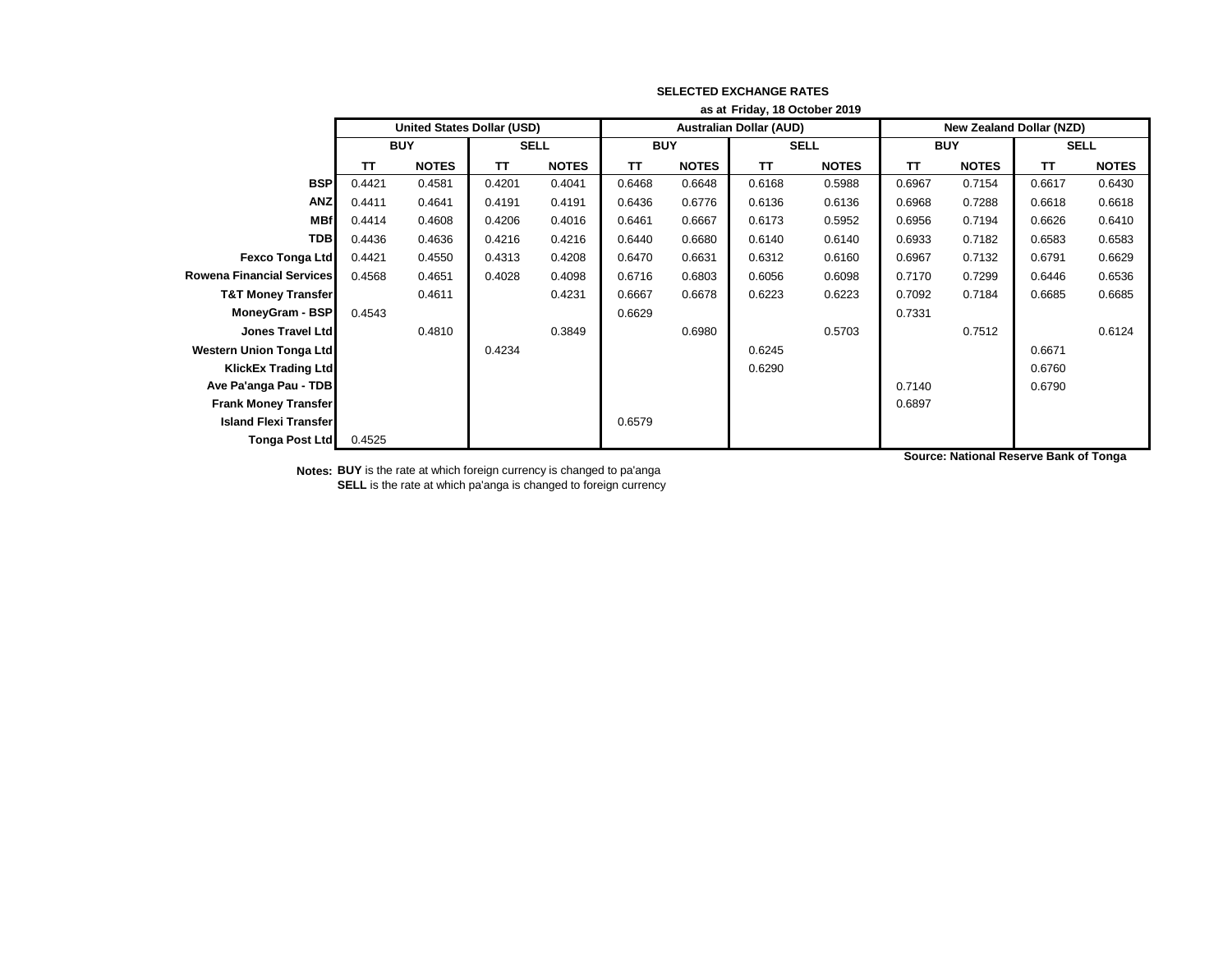|                                  | as at Friday, 18 October 2019 |                                   |           |              |           |                                |           |              |           |                          |           |              |  |
|----------------------------------|-------------------------------|-----------------------------------|-----------|--------------|-----------|--------------------------------|-----------|--------------|-----------|--------------------------|-----------|--------------|--|
|                                  |                               | <b>United States Dollar (USD)</b> |           |              |           | <b>Australian Dollar (AUD)</b> |           |              |           | New Zealand Dollar (NZD) |           |              |  |
|                                  | <b>BUY</b>                    |                                   |           | <b>SELL</b>  |           | <b>BUY</b>                     |           | <b>SELL</b>  |           | <b>BUY</b>               |           | <b>SELL</b>  |  |
|                                  | <b>TT</b>                     | <b>NOTES</b>                      | <b>TT</b> | <b>NOTES</b> | <b>TT</b> | <b>NOTES</b>                   | <b>TT</b> | <b>NOTES</b> | <b>TT</b> | <b>NOTES</b>             | <b>TT</b> | <b>NOTES</b> |  |
| <b>BSP</b>                       | 0.4421                        | 0.4581                            | 0.4201    | 0.4041       | 0.6468    | 0.6648                         | 0.6168    | 0.5988       | 0.6967    | 0.7154                   | 0.6617    | 0.6430       |  |
| <b>ANZ</b>                       | 0.4411                        | 0.4641                            | 0.4191    | 0.4191       | 0.6436    | 0.6776                         | 0.6136    | 0.6136       | 0.6968    | 0.7288                   | 0.6618    | 0.6618       |  |
| <b>MBf</b>                       | 0.4414                        | 0.4608                            | 0.4206    | 0.4016       | 0.6461    | 0.6667                         | 0.6173    | 0.5952       | 0.6956    | 0.7194                   | 0.6626    | 0.6410       |  |
| <b>TDB</b>                       | 0.4436                        | 0.4636                            | 0.4216    | 0.4216       | 0.6440    | 0.6680                         | 0.6140    | 0.6140       | 0.6933    | 0.7182                   | 0.6583    | 0.6583       |  |
| Fexco Tonga Ltd                  | 0.4421                        | 0.4550                            | 0.4313    | 0.4208       | 0.6470    | 0.6631                         | 0.6312    | 0.6160       | 0.6967    | 0.7132                   | 0.6791    | 0.6629       |  |
| <b>Rowena Financial Services</b> | 0.4568                        | 0.4651                            | 0.4028    | 0.4098       | 0.6716    | 0.6803                         | 0.6056    | 0.6098       | 0.7170    | 0.7299                   | 0.6446    | 0.6536       |  |
| <b>T&amp;T Money Transfer</b>    |                               | 0.4611                            |           | 0.4231       | 0.6667    | 0.6678                         | 0.6223    | 0.6223       | 0.7092    | 0.7184                   | 0.6685    | 0.6685       |  |
| MoneyGram - BSP                  | 0.4543                        |                                   |           |              | 0.6629    |                                |           |              | 0.7331    |                          |           |              |  |
| <b>Jones Travel Ltd</b>          |                               | 0.4810                            |           | 0.3849       |           | 0.6980                         |           | 0.5703       |           | 0.7512                   |           | 0.6124       |  |
| <b>Western Union Tonga Ltd</b>   |                               |                                   | 0.4234    |              |           |                                | 0.6245    |              |           |                          | 0.6671    |              |  |
| <b>KlickEx Trading Ltd</b>       |                               |                                   |           |              |           |                                | 0.6290    |              |           |                          | 0.6760    |              |  |
| Ave Pa'anga Pau - TDB            |                               |                                   |           |              |           |                                |           |              | 0.7140    |                          | 0.6790    |              |  |
| <b>Frank Money Transfer</b>      |                               |                                   |           |              |           |                                |           |              | 0.6897    |                          |           |              |  |
| <b>Island Flexi Transfer</b>     |                               |                                   |           |              | 0.6579    |                                |           |              |           |                          |           |              |  |
| <b>Tonga Post Ltd</b>            | 0.4525                        |                                   |           |              |           |                                |           |              |           |                          |           |              |  |

**Notes: BUY** is the rate at which foreign currency is changed to pa'anga **SELL** is the rate at which pa'anga is changed to foreign currency **Source: National Reserve Bank of Tonga**